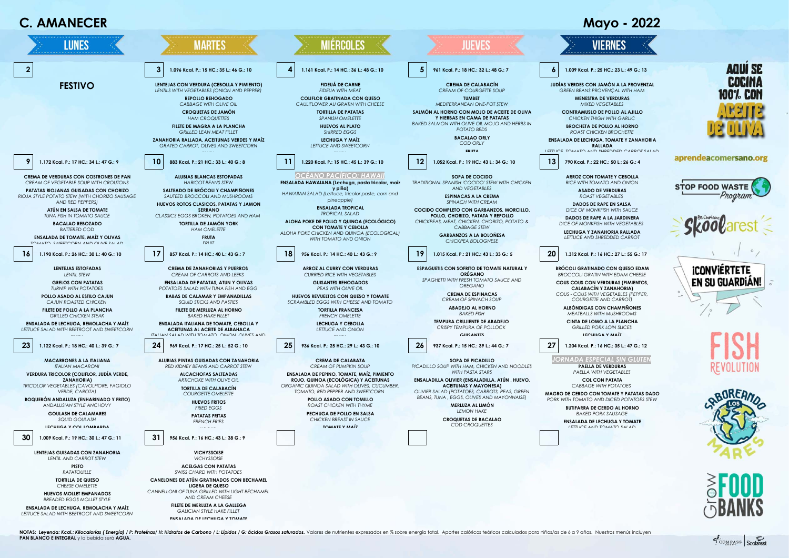

NOTAS: Levenda: Kcal: Kilocalorías ( Energía) / P: Proteínas/ H: Hidratos de Carbono / L: Lípidos / G: ácidos Grasos saturados. Volores de nutrientes expresados en % sobre energía total. Aportes calóricos teóricos calculad **PAN BLANCO E INTEGRAL** y la bebida será **AGUA.**

COMPASS Scolarest